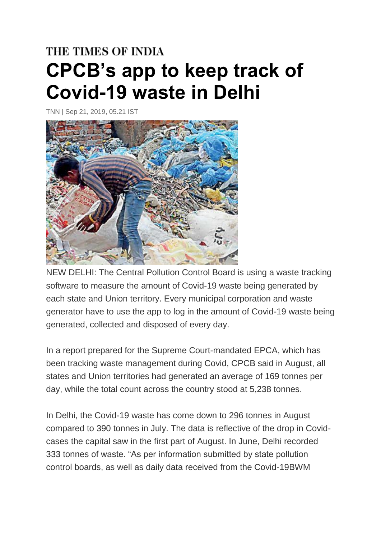## THE TIMES OF INDIA **CPCB's app to keep track of Covid-19 waste in Delhi**

TNN | Sep 21, 2019, 05.21 IST



NEW DELHI: The Central Pollution Control Board is using a waste tracking software to measure the amount of Covid-19 waste being generated by each state and Union territory. Every municipal corporation and waste generator have to use the app to log in the amount of Covid-19 waste being generated, collected and disposed of every day.

In a report prepared for the Supreme Court-mandated EPCA, which has been tracking waste management during Covid, CPCB said in August, all states and Union territories had generated an average of 169 tonnes per day, while the total count across the country stood at 5,238 tonnes.

In Delhi, the Covid-19 waste has come down to 296 tonnes in August compared to 390 tonnes in July. The data is reflective of the drop in Covidcases the capital saw in the first part of August. In June, Delhi recorded 333 tonnes of waste. "As per information submitted by state pollution control boards, as well as daily data received from the Covid-19BWM